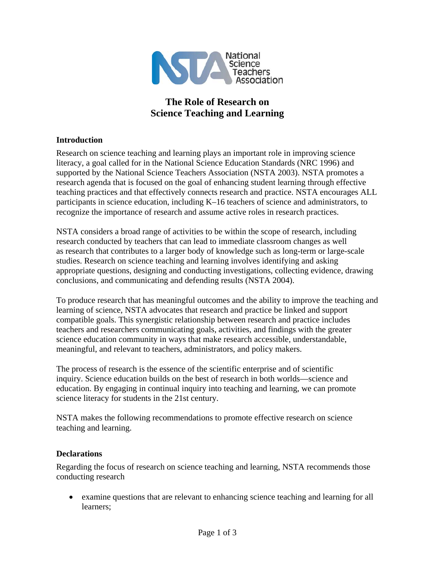

## **The Role of Research on Science Teaching and Learning**

## **Introduction**

Research on science teaching and learning plays an important role in improving science literacy, a goal called for in the National Science Education Standards (NRC 1996) and supported by the National Science Teachers Association (NSTA 2003). NSTA promotes a research agenda that is focused on the goal of enhancing student learning through effective teaching practices and that effectively connects research and practice. NSTA encourages ALL participants in science education, including K–16 teachers of science and administrators, to recognize the importance of research and assume active roles in research practices.

NSTA considers a broad range of activities to be within the scope of research, including research conducted by teachers that can lead to immediate classroom changes as well as research that contributes to a larger body of knowledge such as long-term or large-scale studies. Research on science teaching and learning involves identifying and asking appropriate questions, designing and conducting investigations, collecting evidence, drawing conclusions, and communicating and defending results (NSTA 2004).

To produce research that has meaningful outcomes and the ability to improve the teaching and learning of science, NSTA advocates that research and practice be linked and support compatible goals. This synergistic relationship between research and practice includes teachers and researchers communicating goals, activities, and findings with the greater science education community in ways that make research accessible, understandable, meaningful, and relevant to teachers, administrators, and policy makers.

The process of research is the essence of the scientific enterprise and of scientific inquiry. Science education builds on the best of research in both worlds—science and education. By engaging in continual inquiry into teaching and learning, we can promote science literacy for students in the 21st century.

NSTA makes the following recommendations to promote effective research on science teaching and learning.

## **Declarations**

Regarding the focus of research on science teaching and learning, NSTA recommends those conducting research

• examine questions that are relevant to enhancing science teaching and learning for all learners;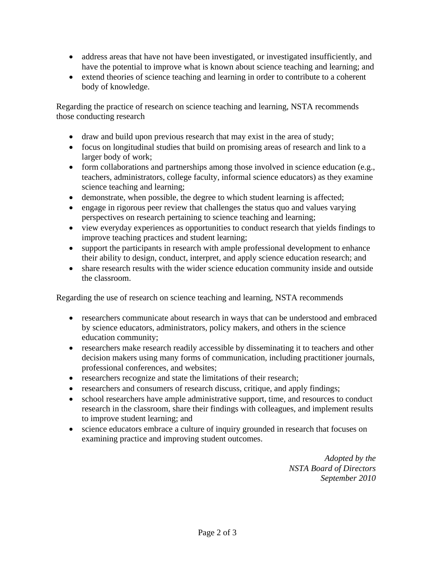- address areas that have not have been investigated, or investigated insufficiently, and have the potential to improve what is known about science teaching and learning; and
- extend theories of science teaching and learning in order to contribute to a coherent body of knowledge.

Regarding the practice of research on science teaching and learning, NSTA recommends those conducting research

- draw and build upon previous research that may exist in the area of study;
- focus on longitudinal studies that build on promising areas of research and link to a larger body of work;
- form collaborations and partnerships among those involved in science education (e.g., teachers, administrators, college faculty, informal science educators) as they examine science teaching and learning;
- demonstrate, when possible, the degree to which student learning is affected;
- engage in rigorous peer review that challenges the status quo and values varying perspectives on research pertaining to science teaching and learning;
- view everyday experiences as opportunities to conduct research that yields findings to improve teaching practices and student learning;
- support the participants in research with ample professional development to enhance their ability to design, conduct, interpret, and apply science education research; and
- share research results with the wider science education community inside and outside the classroom.

Regarding the use of research on science teaching and learning, NSTA recommends

- researchers communicate about research in ways that can be understood and embraced by science educators, administrators, policy makers, and others in the science education community;
- researchers make research readily accessible by disseminating it to teachers and other decision makers using many forms of communication, including practitioner journals, professional conferences, and websites;
- researchers recognize and state the limitations of their research;
- researchers and consumers of research discuss, critique, and apply findings;
- school researchers have ample administrative support, time, and resources to conduct research in the classroom, share their findings with colleagues, and implement results to improve student learning; and
- science educators embrace a culture of inquiry grounded in research that focuses on examining practice and improving student outcomes.

*Adopted by the NSTA Board of Directors September 2010*